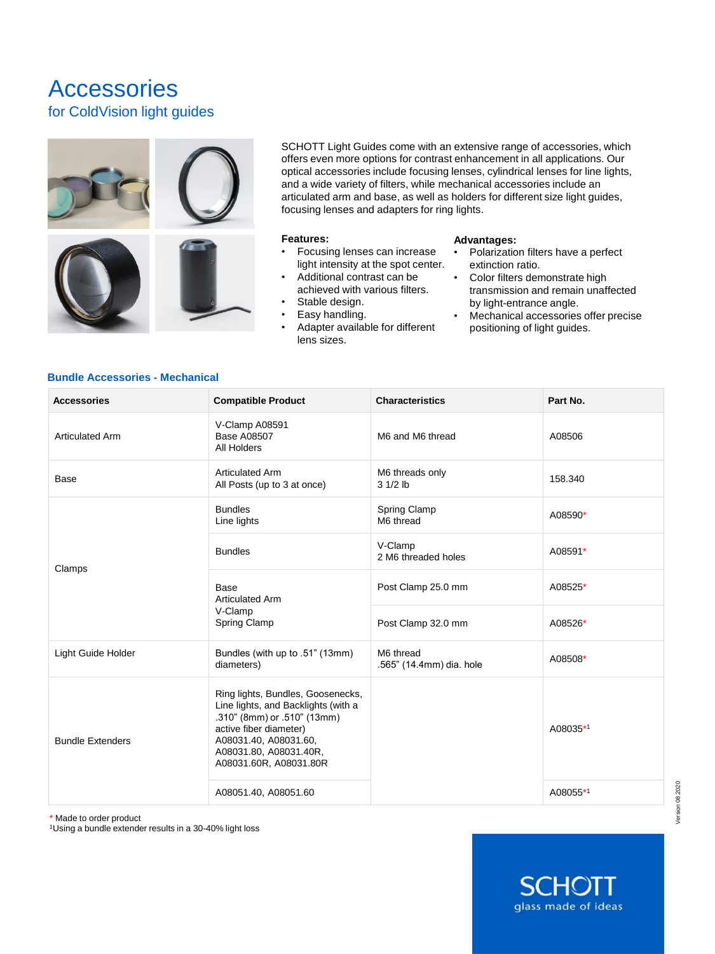# Accessories for ColdVision light guides



SCHOTT Light Guides come with an extensive range of accessories, which offers even more options for contrast enhancement in all applications. Our optical accessories include focusing lenses, cylindrical lenses for line lights, and a wide variety of filters, while mechanical accessories include an articulated arm and base, as well as holders for different size light guides, focusing lenses and adapters for ring lights.

#### **Features:**

- Focusing lenses can increase light intensity at the spot center.
- Additional contrast can be achieved with various filters.
- Stable design.
- Easy handling.
- Adapter available for different lens sizes.

#### **Advantages:**

- Polarization filters have a perfect extinction ratio.
- Color filters demonstrate high transmission and remain unaffected by light-entrance angle.
- Mechanical accessories offer precise positioning of light guides.

### **Bundle Accessories - Mechanical**

| <b>Accessories</b>      | <b>Compatible Product</b>                                                                                                                                                                                      | <b>Characteristics</b>                | Part No. |
|-------------------------|----------------------------------------------------------------------------------------------------------------------------------------------------------------------------------------------------------------|---------------------------------------|----------|
| <b>Articulated Arm</b>  | V-Clamp A08591<br><b>Base A08507</b><br>All Holders                                                                                                                                                            | M6 and M6 thread                      | A08506   |
| Base                    | <b>Articulated Arm</b><br>All Posts (up to 3 at once)                                                                                                                                                          | M6 threads only<br>$31/2$ lb          | 158.340  |
| Clamps                  | <b>Bundles</b><br>Line lights                                                                                                                                                                                  | Spring Clamp<br>M6 thread             | A08590*  |
|                         | <b>Bundles</b>                                                                                                                                                                                                 | V-Clamp<br>2 M6 threaded holes        | A08591*  |
|                         | Base<br><b>Articulated Arm</b><br>V-Clamp<br>Spring Clamp                                                                                                                                                      | Post Clamp 25.0 mm                    | A08525*  |
|                         |                                                                                                                                                                                                                | Post Clamp 32.0 mm                    | A08526*  |
| Light Guide Holder      | Bundles (with up to .51" (13mm)<br>diameters)                                                                                                                                                                  | M6 thread<br>.565" (14.4mm) dia. hole | A08508*  |
| <b>Bundle Extenders</b> | Ring lights, Bundles, Goosenecks,<br>Line lights, and Backlights (with a<br>.310" (8mm) or .510" (13mm)<br>active fiber diameter)<br>A08031.40, A08031.60,<br>A08031.80, A08031.40R,<br>A08031.60R, A08031.80R |                                       | A08035*1 |
|                         | A08051.40, A08051.60                                                                                                                                                                                           |                                       | A08055*1 |

\* Made to order product

<sup>1</sup>Using a bundle extender results in a 30-40% light loss